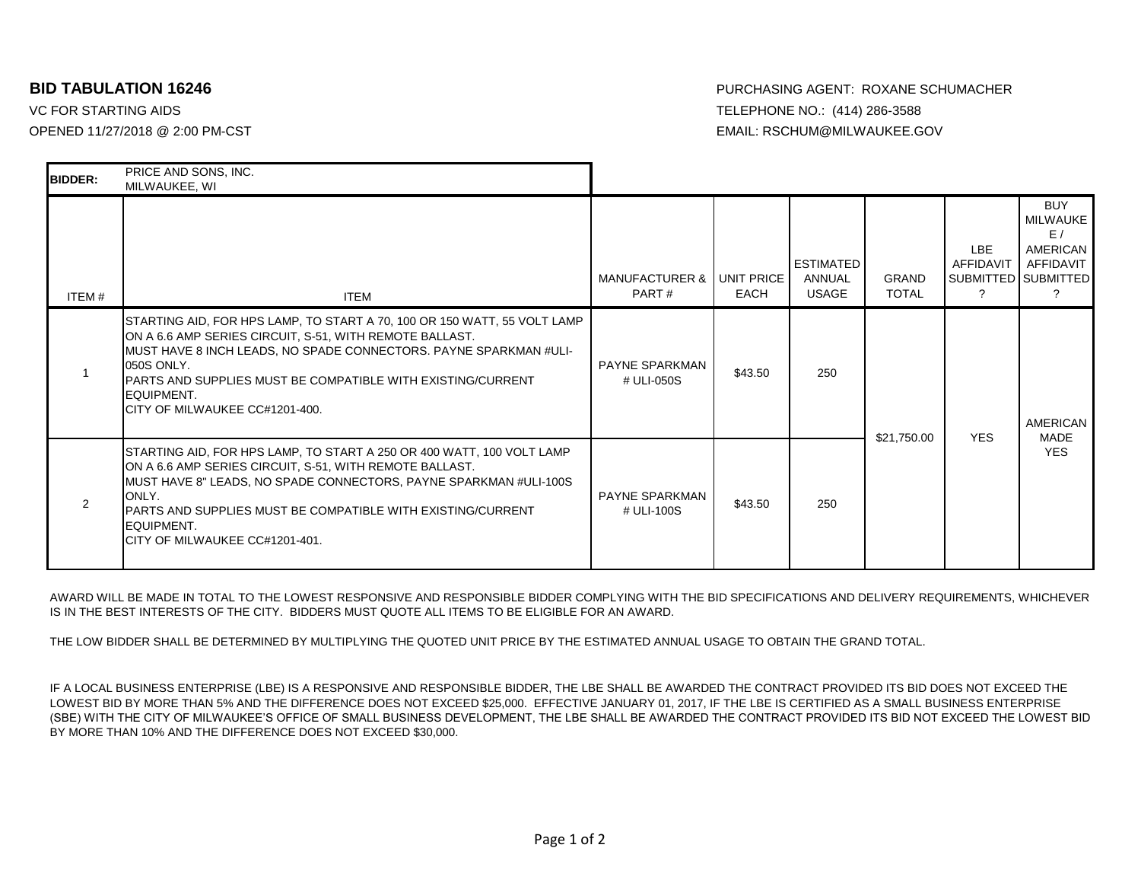VC FOR STARTING AIDS TELEPHONE NO.: (414) 286-3588

**BID TABULATION 16246** PURCHASING AGENT: ROXANE SCHUMACHER OPENED 11/27/2018 @ 2:00 PM-CST EMAIL: RSCHUM@MILWAUKEE.GOV

| <b>BIDDER:</b> | PRICE AND SONS, INC.<br>MILWAUKEE, WI                                                                                                                                                                                                                                                                                                  |                                     |         |                                            |                              |                   |                                                                              |
|----------------|----------------------------------------------------------------------------------------------------------------------------------------------------------------------------------------------------------------------------------------------------------------------------------------------------------------------------------------|-------------------------------------|---------|--------------------------------------------|------------------------------|-------------------|------------------------------------------------------------------------------|
| ITEM#          | <b>ITEM</b>                                                                                                                                                                                                                                                                                                                            | MANUFACTURER & UNIT PRICE<br>PART#  | EACH    | <b>ESTIMATED</b><br>ANNUAL<br><b>USAGE</b> | <b>GRAND</b><br><b>TOTAL</b> | LBE.<br>AFFIDAVIT | <b>BUY</b><br>MILWAUKE<br>E/<br>AMERICAN<br>AFFIDAVIT<br>SUBMITTED SUBMITTED |
|                | STARTING AID, FOR HPS LAMP, TO START A 70, 100 OR 150 WATT, 55 VOLT LAMP<br>ON A 6.6 AMP SERIES CIRCUIT, S-51, WITH REMOTE BALLAST.<br>MUST HAVE 8 INCH LEADS, NO SPADE CONNECTORS. PAYNE SPARKMAN #ULI-<br>050S ONLY.<br>PARTS AND SUPPLIES MUST BE COMPATIBLE WITH EXISTING/CURRENT<br>EQUIPMENT.<br>ICITY OF MILWAUKEE CC#1201-400. | <b>PAYNE SPARKMAN</b><br># ULI-050S | \$43.50 | 250                                        | \$21,750.00                  | <b>YES</b>        | <b>AMERICAN</b><br>MADE<br><b>YES</b>                                        |
| $\mathcal{P}$  | STARTING AID, FOR HPS LAMP, TO START A 250 OR 400 WATT, 100 VOLT LAMP<br>ON A 6.6 AMP SERIES CIRCUIT, S-51, WITH REMOTE BALLAST.<br>MUST HAVE 8" LEADS, NO SPADE CONNECTORS, PAYNE SPARKMAN #ULI-100S<br>ONLY.<br>PARTS AND SUPPLIES MUST BE COMPATIBLE WITH EXISTING/CURRENT<br>EQUIPMENT.<br>ICITY OF MILWAUKEE CC#1201-401.         | <b>PAYNE SPARKMAN</b><br># ULI-100S | \$43.50 | 250                                        |                              |                   |                                                                              |

AWARD WILL BE MADE IN TOTAL TO THE LOWEST RESPONSIVE AND RESPONSIBLE BIDDER COMPLYING WITH THE BID SPECIFICATIONS AND DELIVERY REQUIREMENTS, WHICHEVER IS IN THE BEST INTERESTS OF THE CITY. BIDDERS MUST QUOTE ALL ITEMS TO BE ELIGIBLE FOR AN AWARD.

THE LOW BIDDER SHALL BE DETERMINED BY MULTIPLYING THE QUOTED UNIT PRICE BY THE ESTIMATED ANNUAL USAGE TO OBTAIN THE GRAND TOTAL.

IF A LOCAL BUSINESS ENTERPRISE (LBE) IS A RESPONSIVE AND RESPONSIBLE BIDDER, THE LBE SHALL BE AWARDED THE CONTRACT PROVIDED ITS BID DOES NOT EXCEED THE LOWEST BID BY MORE THAN 5% AND THE DIFFERENCE DOES NOT EXCEED \$25,000. EFFECTIVE JANUARY 01, 2017, IF THE LBE IS CERTIFIED AS A SMALL BUSINESS ENTERPRISE (SBE) WITH THE CITY OF MILWAUKEE'S OFFICE OF SMALL BUSINESS DEVELOPMENT, THE LBE SHALL BE AWARDED THE CONTRACT PROVIDED ITS BID NOT EXCEED THE LOWEST BID BY MORE THAN 10% AND THE DIFFERENCE DOES NOT EXCEED \$30,000.